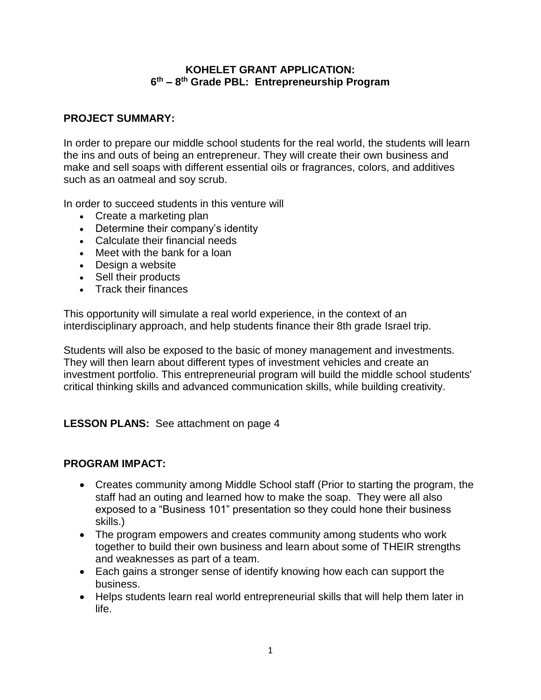#### **KOHELET GRANT APPLICATION: 6 th – 8 th Grade PBL: Entrepreneurship Program**

## **PROJECT SUMMARY:**

In order to prepare our middle school students for the real world, the students will learn the ins and outs of being an entrepreneur. They will create their own business and make and sell soaps with different essential oils or fragrances, colors, and additives such as an oatmeal and soy scrub.

In order to succeed students in this venture will

- Create a marketing plan
- Determine their company's identity
- Calculate their financial needs
- Meet with the bank for a loan
- Design a website
- Sell their products
- Track their finances

This opportunity will simulate a real world experience, in the context of an interdisciplinary approach, and help students finance their 8th grade Israel trip.

Students will also be exposed to the basic of money management and investments. They will then learn about different types of investment vehicles and create an investment portfolio. This entrepreneurial program will build the middle school students' critical thinking skills and advanced communication skills, while building creativity.

## **LESSON PLANS:** See attachment on page 4

#### **PROGRAM IMPACT:**

- Creates community among Middle School staff (Prior to starting the program, the staff had an outing and learned how to make the soap. They were all also exposed to a "Business 101" presentation so they could hone their business skills.)
- The program empowers and creates community among students who work together to build their own business and learn about some of THEIR strengths and weaknesses as part of a team.
- Each gains a stronger sense of identify knowing how each can support the business.
- Helps students learn real world entrepreneurial skills that will help them later in life.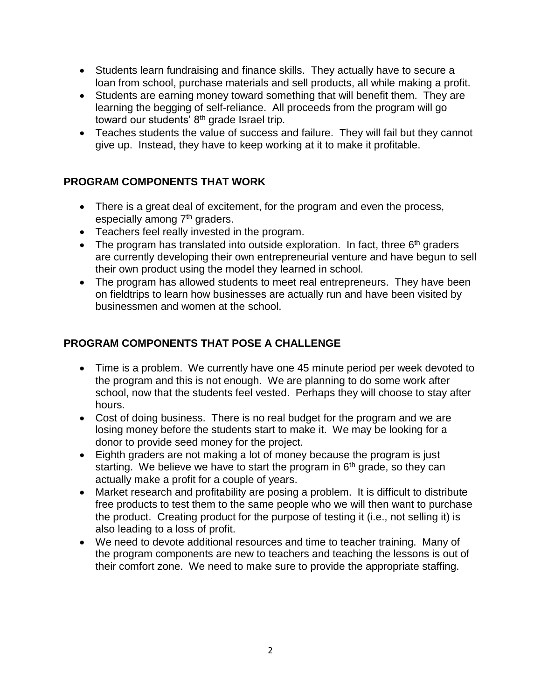- Students learn fundraising and finance skills. They actually have to secure a loan from school, purchase materials and sell products, all while making a profit.
- Students are earning money toward something that will benefit them. They are learning the begging of self-reliance. All proceeds from the program will go toward our students'  $8<sup>th</sup>$  grade Israel trip.
- Teaches students the value of success and failure. They will fail but they cannot give up. Instead, they have to keep working at it to make it profitable.

# **PROGRAM COMPONENTS THAT WORK**

- There is a great deal of excitement, for the program and even the process, especially among 7<sup>th</sup> graders.
- Teachers feel really invested in the program.
- The program has translated into outside exploration. In fact, three  $6<sup>th</sup>$  graders are currently developing their own entrepreneurial venture and have begun to sell their own product using the model they learned in school.
- The program has allowed students to meet real entrepreneurs. They have been on fieldtrips to learn how businesses are actually run and have been visited by businessmen and women at the school.

# **PROGRAM COMPONENTS THAT POSE A CHALLENGE**

- Time is a problem. We currently have one 45 minute period per week devoted to the program and this is not enough. We are planning to do some work after school, now that the students feel vested. Perhaps they will choose to stay after hours.
- Cost of doing business. There is no real budget for the program and we are losing money before the students start to make it. We may be looking for a donor to provide seed money for the project.
- Eighth graders are not making a lot of money because the program is just starting. We believe we have to start the program in  $6<sup>th</sup>$  grade, so they can actually make a profit for a couple of years.
- Market research and profitability are posing a problem. It is difficult to distribute free products to test them to the same people who we will then want to purchase the product. Creating product for the purpose of testing it (i.e., not selling it) is also leading to a loss of profit.
- We need to devote additional resources and time to teacher training. Many of the program components are new to teachers and teaching the lessons is out of their comfort zone. We need to make sure to provide the appropriate staffing.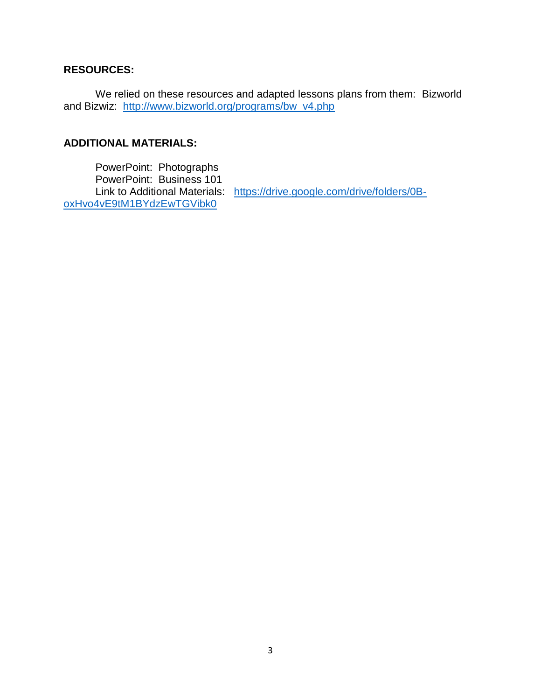## **RESOURCES:**

We relied on these resources and adapted lessons plans from them: Bizworld and Bizwiz: [http://www.bizworld.org/programs/bw\\_v4.php](http://www.bizworld.org/programs/bw_v4.php)

## **ADDITIONAL MATERIALS:**

PowerPoint: Photographs PowerPoint: Business 101 [oxHvo4vE9tM1BYdzEwTGVibk0](https://drive.google.com/drive/folders/0B-oxHvo4vE9tM1BYdzEwTGVibk0)

Link to Additional Materials: [https://drive.google.com/drive/folders/0B-](https://drive.google.com/drive/folders/0B-oxHvo4vE9tM1BYdzEwTGVibk0)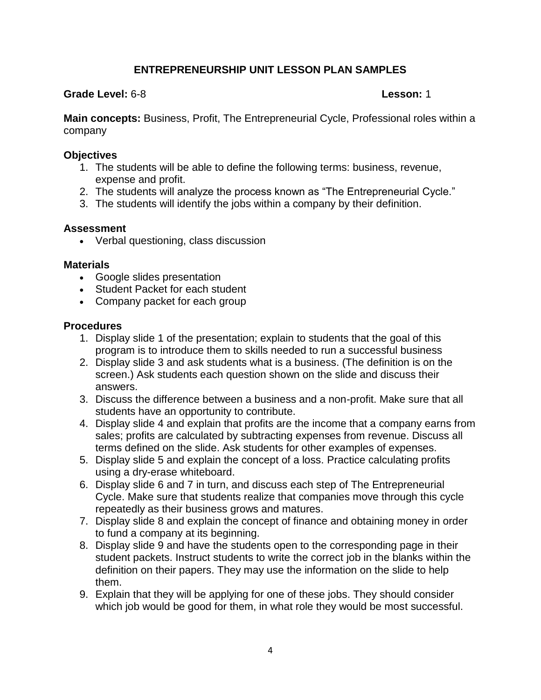## **ENTREPRENEURSHIP UNIT LESSON PLAN SAMPLES**

### **Grade Level:** 6-8 **Lesson:** 1

**Main concepts:** Business, Profit, The Entrepreneurial Cycle, Professional roles within a company

### **Objectives**

- 1. The students will be able to define the following terms: business, revenue, expense and profit.
- 2. The students will analyze the process known as "The Entrepreneurial Cycle."
- 3. The students will identify the jobs within a company by their definition.

## **Assessment**

Verbal questioning, class discussion

### **Materials**

- Google slides presentation
- Student Packet for each student
- Company packet for each group

- 1. Display slide 1 of the presentation; explain to students that the goal of this program is to introduce them to skills needed to run a successful business
- 2. Display slide 3 and ask students what is a business. (The definition is on the screen.) Ask students each question shown on the slide and discuss their answers.
- 3. Discuss the difference between a business and a non-profit. Make sure that all students have an opportunity to contribute.
- 4. Display slide 4 and explain that profits are the income that a company earns from sales; profits are calculated by subtracting expenses from revenue. Discuss all terms defined on the slide. Ask students for other examples of expenses.
- 5. Display slide 5 and explain the concept of a loss. Practice calculating profits using a dry-erase whiteboard.
- 6. Display slide 6 and 7 in turn, and discuss each step of The Entrepreneurial Cycle. Make sure that students realize that companies move through this cycle repeatedly as their business grows and matures.
- 7. Display slide 8 and explain the concept of finance and obtaining money in order to fund a company at its beginning.
- 8. Display slide 9 and have the students open to the corresponding page in their student packets. Instruct students to write the correct job in the blanks within the definition on their papers. They may use the information on the slide to help them.
- 9. Explain that they will be applying for one of these jobs. They should consider which job would be good for them, in what role they would be most successful.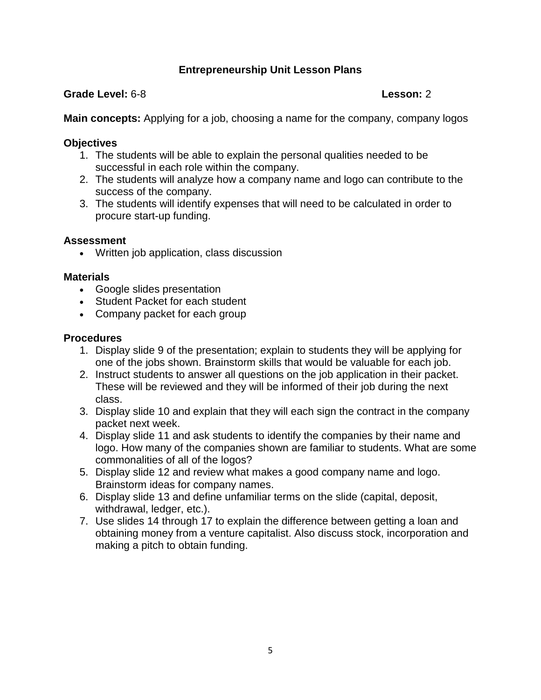## **Entrepreneurship Unit Lesson Plans**

### **Grade Level:** 6-8 **Lesson:** 2

**Main concepts:** Applying for a job, choosing a name for the company, company logos

## **Objectives**

- 1. The students will be able to explain the personal qualities needed to be successful in each role within the company.
- 2. The students will analyze how a company name and logo can contribute to the success of the company.
- 3. The students will identify expenses that will need to be calculated in order to procure start-up funding.

## **Assessment**

Written job application, class discussion

## **Materials**

- Google slides presentation
- Student Packet for each student
- Company packet for each group

- 1. Display slide 9 of the presentation; explain to students they will be applying for one of the jobs shown. Brainstorm skills that would be valuable for each job.
- 2. Instruct students to answer all questions on the job application in their packet. These will be reviewed and they will be informed of their job during the next class.
- 3. Display slide 10 and explain that they will each sign the contract in the company packet next week.
- 4. Display slide 11 and ask students to identify the companies by their name and logo. How many of the companies shown are familiar to students. What are some commonalities of all of the logos?
- 5. Display slide 12 and review what makes a good company name and logo. Brainstorm ideas for company names.
- 6. Display slide 13 and define unfamiliar terms on the slide (capital, deposit, withdrawal, ledger, etc.).
- 7. Use slides 14 through 17 to explain the difference between getting a loan and obtaining money from a venture capitalist. Also discuss stock, incorporation and making a pitch to obtain funding.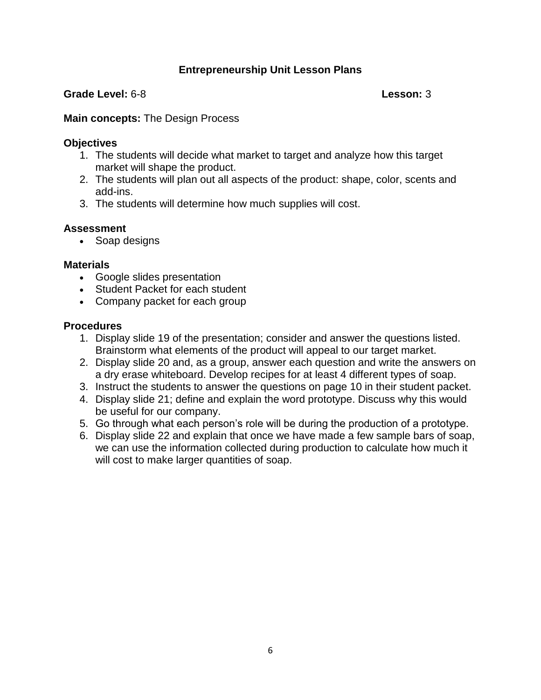## **Entrepreneurship Unit Lesson Plans**

#### **Grade Level:** 6-8 **Lesson:** 3

#### **Main concepts:** The Design Process

#### **Objectives**

- 1. The students will decide what market to target and analyze how this target market will shape the product.
- 2. The students will plan out all aspects of the product: shape, color, scents and add-ins.
- 3. The students will determine how much supplies will cost.

#### **Assessment**

• Soap designs

#### **Materials**

- Google slides presentation
- Student Packet for each student
- Company packet for each group

- 1. Display slide 19 of the presentation; consider and answer the questions listed. Brainstorm what elements of the product will appeal to our target market.
- 2. Display slide 20 and, as a group, answer each question and write the answers on a dry erase whiteboard. Develop recipes for at least 4 different types of soap.
- 3. Instruct the students to answer the questions on page 10 in their student packet.
- 4. Display slide 21; define and explain the word prototype. Discuss why this would be useful for our company.
- 5. Go through what each person's role will be during the production of a prototype.
- 6. Display slide 22 and explain that once we have made a few sample bars of soap, we can use the information collected during production to calculate how much it will cost to make larger quantities of soap.